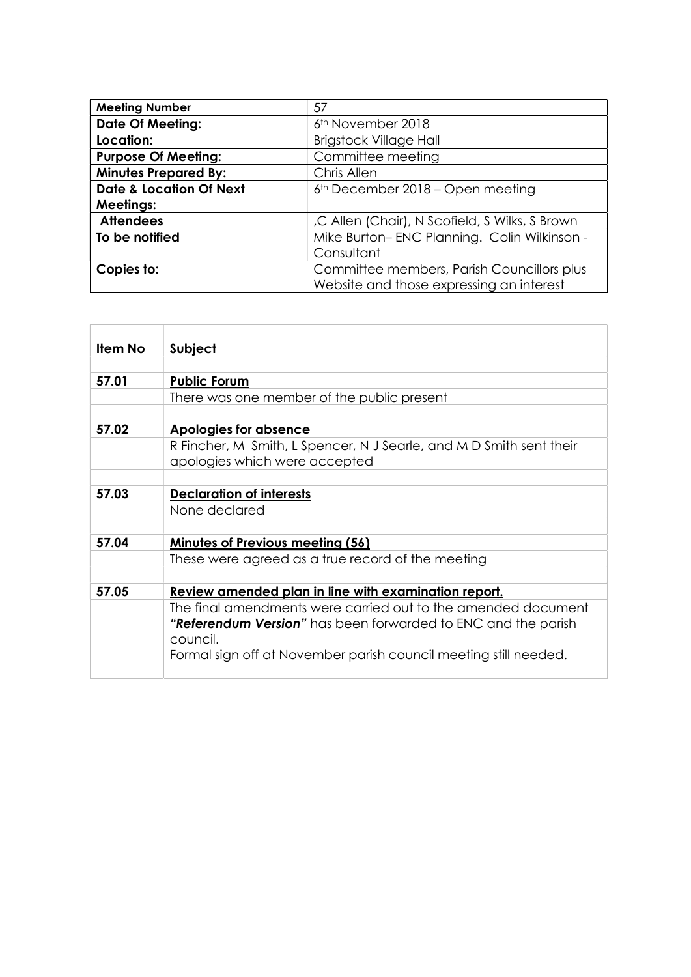| <b>Meeting Number</b>              | 57                                             |
|------------------------------------|------------------------------------------------|
| <b>Date Of Meeting:</b>            | 6 <sup>th</sup> November 2018                  |
| Location:                          | <b>Brigstock Village Hall</b>                  |
| <b>Purpose Of Meeting:</b>         | Committee meeting                              |
| <b>Minutes Prepared By:</b>        | Chris Allen                                    |
| <b>Date &amp; Location Of Next</b> | $6th$ December 2018 – Open meeting             |
| <b>Meetings:</b>                   |                                                |
| <b>Attendees</b>                   | ,C Allen (Chair), N Scofield, S Wilks, S Brown |
| To be notified                     | Mike Burton-ENC Planning. Colin Wilkinson -    |
|                                    | Consultant                                     |
| Copies to:                         | Committee members, Parish Councillors plus     |
|                                    | Website and those expressing an interest       |

| Subject                                                             |
|---------------------------------------------------------------------|
|                                                                     |
|                                                                     |
| <b>Public Forum</b>                                                 |
| There was one member of the public present                          |
|                                                                     |
| Apologies for absence                                               |
| R Fincher, M Smith, L Spencer, N J Searle, and M D Smith sent their |
| apologies which were accepted                                       |
|                                                                     |
| <b>Declaration of interests</b>                                     |
| None declared                                                       |
|                                                                     |
| Minutes of Previous meeting (56)                                    |
| These were agreed as a true record of the meeting                   |
|                                                                     |
| Review amended plan in line with examination report.                |
| The final amendments were carried out to the amended document       |
| "Referendum Version" has been forwarded to ENC and the parish       |
| council.                                                            |
| Formal sign off at November parish council meeting still needed.    |
|                                                                     |
|                                                                     |